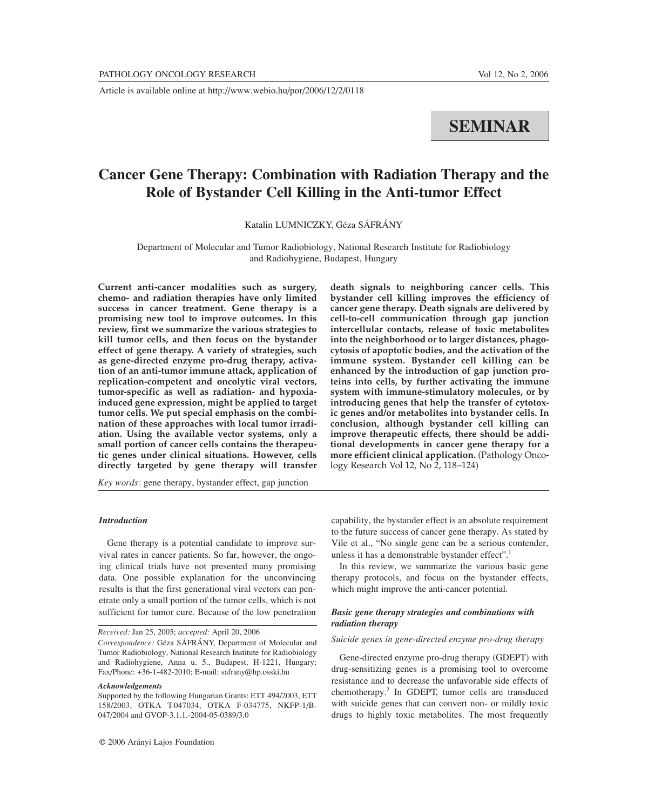Article is available online at http://www.webio.hu/por/2006/12/2/0118

**SEMINAR**

# **Cancer Gene Therapy: Combination with Radiation Therapy and the Role of Bystander Cell Killing in the Anti-tumor Effect**

Katalin LUMNICZKY, Géza SÁFRÁNY

Department of Molecular and Tumor Radiobiology, National Research Institute for Radiobiology and Radiohygiene, Budapest, Hungary

**Current anti-cancer modalities such as surgery, chemo- and radiation therapies have only limited success in cancer treatment. Gene therapy is a promising new tool to improve outcomes. In this review, first we summarize the various strategies to kill tumor cells, and then focus on the bystander effect of gene therapy. A variety of strategies, such as gene-directed enzyme pro-drug therapy, activation of an anti-tumor immune attack, application of replication-competent and oncolytic viral vectors, tumor-specific as well as radiation- and hypoxiainduced gene expression, might be applied to target tumor cells. We put special emphasis on the combination of these approaches with local tumor irradiation. Using the available vector systems, only a small portion of cancer cells contains the therapeutic genes under clinical situations. However, cells directly targeted by gene therapy will transfer**

*Key words:* gene therapy, bystander effect, gap junction

**death signals to neighboring cancer cells. This bystander cell killing improves the efficiency of cancer gene therapy. Death signals are delivered by cell-to-cell communication through gap junction intercellular contacts, release of toxic metabolites into the neighborhood or to larger distances, phagocytosis of apoptotic bodies, and the activation of the immune system. Bystander cell killing can be enhanced by the introduction of gap junction proteins into cells, by further activating the immune system with immune-stimulatory molecules, or by introducing genes that help the transfer of cytotoxic genes and/or metabolites into bystander cells. In conclusion, although bystander cell killing can improve therapeutic effects, there should be additional developments in cancer gene therapy for a more efficient clinical application.** (Pathology Oncology Research Vol 12, No 2, 118–124)

### *Introduction*

Gene therapy is a potential candidate to improve survival rates in cancer patients. So far, however, the ongoing clinical trials have not presented many promising data. One possible explanation for the unconvincing results is that the first generational viral vectors can penetrate only a small portion of the tumor cells, which is not sufficient for tumor cure. Because of the low penetration

capability, the bystander effect is an absolute requirement to the future success of cancer gene therapy. As stated by Vile et al., "No single gene can be a serious contender, unless it has a demonstrable bystander effect".<sup>1</sup>

In this review, we summarize the various basic gene therapy protocols, and focus on the bystander effects, which might improve the anti-cancer potential.

# *Basic gene therapy strategies and combinations with radiation therapy*

### *Suicide genes in gene-directed enzyme pro-drug therapy*

Gene-directed enzyme pro-drug therapy (GDEPT) with drug-sensitizing genes is a promising tool to overcome resistance and to decrease the unfavorable side effects of chemotherapy.2 In GDEPT, tumor cells are transduced with suicide genes that can convert non- or mildly toxic drugs to highly toxic metabolites. The most frequently

*Received:* Jan 25, 2005; *accepted:* April 20, 2006

*Correspondence:* Géza SÁFRÁNY, Department of Molecular and Tumor Radiobiology, National Research Institute for Radiobiology and Radiohygiene, Anna u. 5., Budapest, H-1221, Hungary; Fax/Phone: +36-1-482-2010; E-mail: safrany@hp.osski.hu

*Acknowledgements*

Supported by the following Hungarian Grants: ETT 494/2003, ETT 158/2003, OTKA T-047034, OTKA F-034775, NKFP-1/B-047/2004 and GVOP-3.1.1.-2004-05-0389/3.0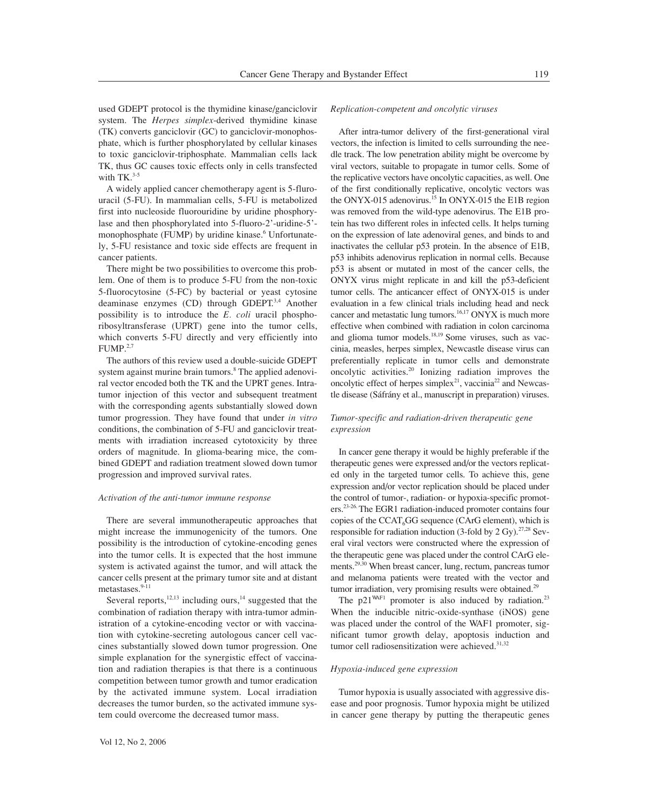used GDEPT protocol is the thymidine kinase/ganciclovir system. The *Herpes simplex*-derived thymidine kinase (TK) converts ganciclovir (GC) to ganciclovir-monophosphate, which is further phosphorylated by cellular kinases to toxic ganciclovir-triphosphate. Mammalian cells lack TK, thus GC causes toxic effects only in cells transfected with TK.<sup>3-5</sup>

A widely applied cancer chemotherapy agent is 5-flurouracil (5-FU). In mammalian cells, 5-FU is metabolized first into nucleoside fluorouridine by uridine phosphorylase and then phosphorylated into 5-fluoro-2'-uridine-5' monophosphate (FUMP) by uridine kinase.<sup>6</sup> Unfortunately, 5-FU resistance and toxic side effects are frequent in cancer patients.

There might be two possibilities to overcome this problem. One of them is to produce 5-FU from the non-toxic 5-fluorocytosine (5-FC) by bacterial or yeast cytosine deaminase enzymes (CD) through GDEPT.<sup>3,4</sup> Another possibility is to introduce the *E. coli* uracil phosphoribosyltransferase (UPRT) gene into the tumor cells, which converts 5-FU directly and very efficiently into  $FUMP.<sup>2,7</sup>$ 

The authors of this review used a double-suicide GDEPT system against murine brain tumors.<sup>8</sup> The applied adenoviral vector encoded both the TK and the UPRT genes. Intratumor injection of this vector and subsequent treatment with the corresponding agents substantially slowed down tumor progression. They have found that under *in vitro* conditions, the combination of 5-FU and ganciclovir treatments with irradiation increased cytotoxicity by three orders of magnitude. In glioma-bearing mice, the combined GDEPT and radiation treatment slowed down tumor progression and improved survival rates.

### *Activation of the anti-tumor immune response*

There are several immunotherapeutic approaches that might increase the immunogenicity of the tumors. One possibility is the introduction of cytokine-encoding genes into the tumor cells. It is expected that the host immune system is activated against the tumor, and will attack the cancer cells present at the primary tumor site and at distant metastases.<sup>9-11</sup>

Several reports, $12,13$  including ours, $14$  suggested that the combination of radiation therapy with intra-tumor administration of a cytokine-encoding vector or with vaccination with cytokine-secreting autologous cancer cell vaccines substantially slowed down tumor progression. One simple explanation for the synergistic effect of vaccination and radiation therapies is that there is a continuous competition between tumor growth and tumor eradication by the activated immune system. Local irradiation decreases the tumor burden, so the activated immune system could overcome the decreased tumor mass.

### *Replication-competent and oncolytic viruses*

After intra-tumor delivery of the first-generational viral vectors, the infection is limited to cells surrounding the needle track. The low penetration ability might be overcome by viral vectors, suitable to propagate in tumor cells. Some of the replicative vectors have oncolytic capacities, as well. One of the first conditionally replicative, oncolytic vectors was the ONYX-015 adenovirus.<sup>15</sup> In ONYX-015 the E1B region was removed from the wild-type adenovirus. The E1B protein has two different roles in infected cells. It helps turning on the expression of late adenoviral genes, and binds to and inactivates the cellular p53 protein. In the absence of E1B, p53 inhibits adenovirus replication in normal cells. Because p53 is absent or mutated in most of the cancer cells, the ONYX virus might replicate in and kill the p53-deficient tumor cells. The anticancer effect of ONYX-015 is under evaluation in a few clinical trials including head and neck cancer and metastatic lung tumors.<sup>16,17</sup> ONYX is much more effective when combined with radiation in colon carcinoma and glioma tumor models.<sup>18,19</sup> Some viruses, such as vaccinia, measles, herpes simplex, Newcastle disease virus can preferentially replicate in tumor cells and demonstrate oncolytic activities.20 Ionizing radiation improves the oncolytic effect of herpes simplex<sup>21</sup>, vaccinia<sup>22</sup> and Newcastle disease (Sáfrány et al., manuscript in preparation) viruses.

# *Tumor-specific and radiation-driven therapeutic gene expression*

In cancer gene therapy it would be highly preferable if the therapeutic genes were expressed and/or the vectors replicated only in the targeted tumor cells. To achieve this, gene expression and/or vector replication should be placed under the control of tumor-, radiation- or hypoxia-specific promoters.23-26. The EGR1 radiation-induced promoter contains four copies of the  $CCAT<sub>6</sub>GG$  sequence (CArG element), which is responsible for radiation induction  $(3$ -fold by  $2 \text{ Gy})$ .<sup>27,28</sup> Several viral vectors were constructed where the expression of the therapeutic gene was placed under the control CArG elements.29,30 When breast cancer, lung, rectum, pancreas tumor and melanoma patients were treated with the vector and tumor irradiation, very promising results were obtained.<sup>29</sup>

The  $p21^{WAF1}$  promoter is also induced by radiation.<sup>23</sup> When the inducible nitric-oxide-synthase (iNOS) gene was placed under the control of the WAF1 promoter, significant tumor growth delay, apoptosis induction and tumor cell radiosensitization were achieved. $31,32$ 

### *Hypoxia-induced gene expression*

Tumor hypoxia is usually associated with aggressive disease and poor prognosis. Tumor hypoxia might be utilized in cancer gene therapy by putting the therapeutic genes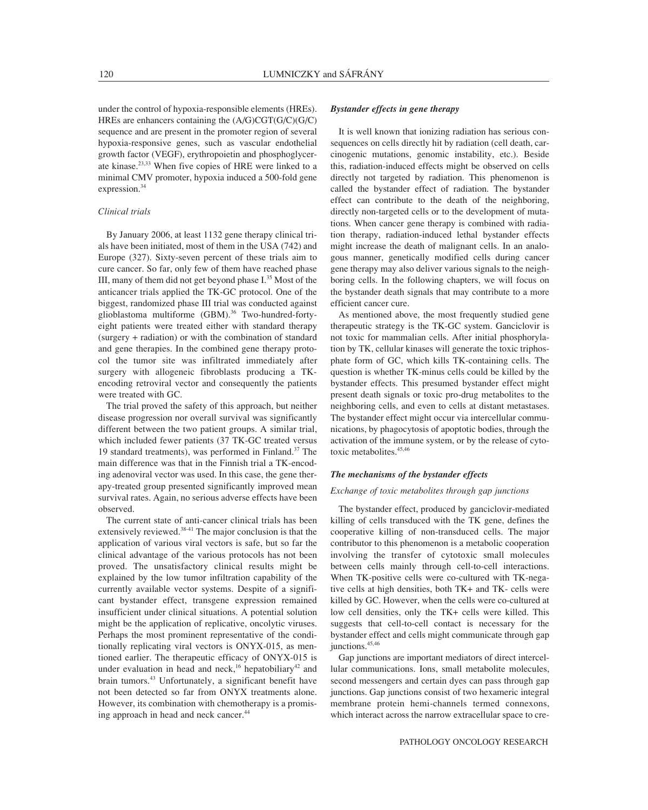under the control of hypoxia-responsible elements (HREs). HREs are enhancers containing the  $(A/G)CGT(G/C)(G/C)$ sequence and are present in the promoter region of several hypoxia-responsive genes, such as vascular endothelial growth factor (VEGF), erythropoietin and phosphoglycerate kinase.23,33 When five copies of HRE were linked to a minimal CMV promoter, hypoxia induced a 500-fold gene expression.<sup>34</sup>

# *Clinical trials*

By January 2006, at least 1132 gene therapy clinical trials have been initiated, most of them in the USA (742) and Europe (327). Sixty-seven percent of these trials aim to cure cancer. So far, only few of them have reached phase III, many of them did not get beyond phase I.35 Most of the anticancer trials applied the TK-GC protocol. One of the biggest, randomized phase III trial was conducted against glioblastoma multiforme (GBM).<sup>36</sup> Two-hundred-fortyeight patients were treated either with standard therapy (surgery + radiation) or with the combination of standard and gene therapies. In the combined gene therapy protocol the tumor site was infiltrated immediately after surgery with allogeneic fibroblasts producing a TKencoding retroviral vector and consequently the patients were treated with GC.

The trial proved the safety of this approach, but neither disease progression nor overall survival was significantly different between the two patient groups. A similar trial, which included fewer patients (37 TK-GC treated versus 19 standard treatments), was performed in Finland.37 The main difference was that in the Finnish trial a TK-encoding adenoviral vector was used. In this case, the gene therapy-treated group presented significantly improved mean survival rates. Again, no serious adverse effects have been observed.

The current state of anti-cancer clinical trials has been extensively reviewed.<sup>38-41</sup> The major conclusion is that the application of various viral vectors is safe, but so far the clinical advantage of the various protocols has not been proved. The unsatisfactory clinical results might be explained by the low tumor infiltration capability of the currently available vector systems. Despite of a significant bystander effect, transgene expression remained insufficient under clinical situations. A potential solution might be the application of replicative, oncolytic viruses. Perhaps the most prominent representative of the conditionally replicating viral vectors is ONYX-015, as mentioned earlier. The therapeutic efficacy of ONYX-015 is under evaluation in head and neck,<sup>16</sup> hepatobiliary<sup>42</sup> and brain tumors.43 Unfortunately, a significant benefit have not been detected so far from ONYX treatments alone. However, its combination with chemotherapy is a promising approach in head and neck cancer.<sup>44</sup>

### *Bystander effects in gene therapy*

It is well known that ionizing radiation has serious consequences on cells directly hit by radiation (cell death, carcinogenic mutations, genomic instability, etc.). Beside this, radiation-induced effects might be observed on cells directly not targeted by radiation. This phenomenon is called the bystander effect of radiation. The bystander effect can contribute to the death of the neighboring, directly non-targeted cells or to the development of mutations. When cancer gene therapy is combined with radiation therapy, radiation-induced lethal bystander effects might increase the death of malignant cells. In an analogous manner, genetically modified cells during cancer gene therapy may also deliver various signals to the neighboring cells. In the following chapters, we will focus on the bystander death signals that may contribute to a more efficient cancer cure.

As mentioned above, the most frequently studied gene therapeutic strategy is the TK-GC system. Ganciclovir is not toxic for mammalian cells. After initial phosphorylation by TK, cellular kinases will generate the toxic triphosphate form of GC, which kills TK-containing cells. The question is whether TK-minus cells could be killed by the bystander effects. This presumed bystander effect might present death signals or toxic pro-drug metabolites to the neighboring cells, and even to cells at distant metastases. The bystander effect might occur via intercellular communications, by phagocytosis of apoptotic bodies, through the activation of the immune system, or by the release of cytotoxic metabolites.<sup>45,46</sup>

### *The mechanisms of the bystander effects*

### *Exchange of toxic metabolites through gap junctions*

The bystander effect, produced by ganciclovir-mediated killing of cells transduced with the TK gene, defines the cooperative killing of non-transduced cells. The major contributor to this phenomenon is a metabolic cooperation involving the transfer of cytotoxic small molecules between cells mainly through cell-to-cell interactions. When TK-positive cells were co-cultured with TK-negative cells at high densities, both TK+ and TK- cells were killed by GC. However, when the cells were co-cultured at low cell densities, only the TK+ cells were killed. This suggests that cell-to-cell contact is necessary for the bystander effect and cells might communicate through gap junctions.<sup>45,46</sup>

Gap junctions are important mediators of direct intercellular communications. Ions, small metabolite molecules, second messengers and certain dyes can pass through gap junctions. Gap junctions consist of two hexameric integral membrane protein hemi-channels termed connexons, which interact across the narrow extracellular space to cre-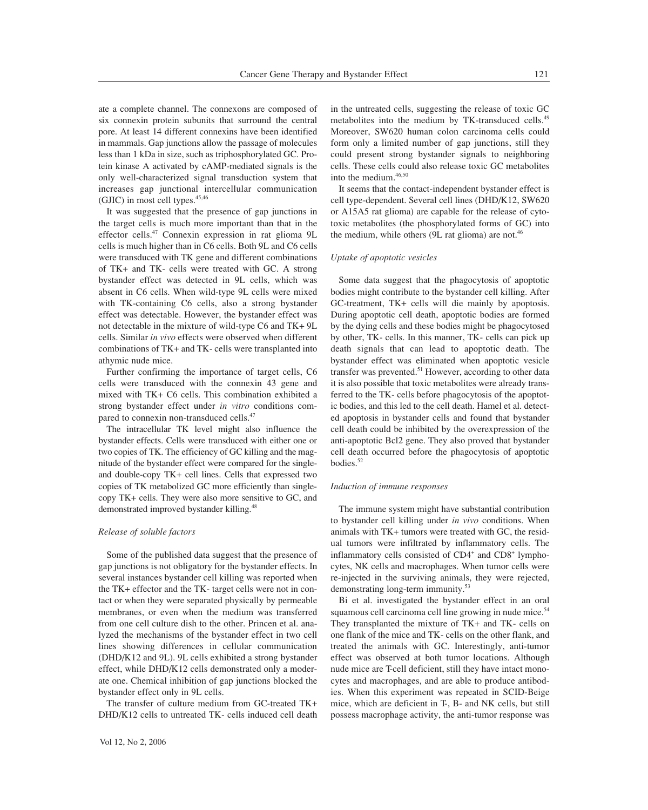ate a complete channel. The connexons are composed of six connexin protein subunits that surround the central pore. At least 14 different connexins have been identified in mammals. Gap junctions allow the passage of molecules less than 1 kDa in size, such as triphosphorylated GC. Protein kinase A activated by cAMP-mediated signals is the only well-characterized signal transduction system that increases gap junctional intercellular communication (GJIC) in most cell types.45,46

It was suggested that the presence of gap junctions in the target cells is much more important than that in the effector cells.47 Connexin expression in rat glioma 9L cells is much higher than in C6 cells. Both 9L and C6 cells were transduced with TK gene and different combinations of TK+ and TK- cells were treated with GC. A strong bystander effect was detected in 9L cells, which was absent in C6 cells. When wild-type 9L cells were mixed with TK-containing C6 cells, also a strong bystander effect was detectable. However, the bystander effect was not detectable in the mixture of wild-type C6 and TK+ 9L cells. Similar *in vivo* effects were observed when different combinations of TK+ and TK- cells were transplanted into athymic nude mice.

Further confirming the importance of target cells, C6 cells were transduced with the connexin 43 gene and mixed with TK+ C6 cells. This combination exhibited a strong bystander effect under *in vitro* conditions compared to connexin non-transduced cells.<sup>47</sup>

The intracellular TK level might also influence the bystander effects. Cells were transduced with either one or two copies of TK. The efficiency of GC killing and the magnitude of the bystander effect were compared for the singleand double-copy TK+ cell lines. Cells that expressed two copies of TK metabolized GC more efficiently than singlecopy TK+ cells. They were also more sensitive to GC, and demonstrated improved bystander killing.<sup>48</sup>

# *Release of soluble factors*

Some of the published data suggest that the presence of gap junctions is not obligatory for the bystander effects. In several instances bystander cell killing was reported when the TK+ effector and the TK- target cells were not in contact or when they were separated physically by permeable membranes, or even when the medium was transferred from one cell culture dish to the other. Princen et al. analyzed the mechanisms of the bystander effect in two cell lines showing differences in cellular communication (DHD/K12 and 9L). 9L cells exhibited a strong bystander effect, while DHD/K12 cells demonstrated only a moderate one. Chemical inhibition of gap junctions blocked the bystander effect only in 9L cells.

The transfer of culture medium from GC-treated TK+ DHD/K12 cells to untreated TK- cells induced cell death in the untreated cells, suggesting the release of toxic GC metabolites into the medium by TK-transduced cells.<sup>49</sup> Moreover, SW620 human colon carcinoma cells could form only a limited number of gap junctions, still they could present strong bystander signals to neighboring cells. These cells could also release toxic GC metabolites into the medium.<sup>46,50</sup>

It seems that the contact-independent bystander effect is cell type-dependent. Several cell lines (DHD/K12, SW620 or A15A5 rat glioma) are capable for the release of cytotoxic metabolites (the phosphorylated forms of GC) into the medium, while others  $(9L \text{ rat } \text{glioma})$  are not.<sup>46</sup>

### *Uptake of apoptotic vesicles*

Some data suggest that the phagocytosis of apoptotic bodies might contribute to the bystander cell killing. After GC-treatment, TK+ cells will die mainly by apoptosis. During apoptotic cell death, apoptotic bodies are formed by the dying cells and these bodies might be phagocytosed by other, TK- cells. In this manner, TK- cells can pick up death signals that can lead to apoptotic death. The bystander effect was eliminated when apoptotic vesicle transfer was prevented.<sup>51</sup> However, according to other data it is also possible that toxic metabolites were already transferred to the TK- cells before phagocytosis of the apoptotic bodies, and this led to the cell death. Hamel et al. detected apoptosis in bystander cells and found that bystander cell death could be inhibited by the overexpression of the anti-apoptotic Bcl2 gene. They also proved that bystander cell death occurred before the phagocytosis of apoptotic bodies.<sup>52</sup>

### *Induction of immune responses*

The immune system might have substantial contribution to bystander cell killing under *in vivo* conditions. When animals with TK+ tumors were treated with GC, the residual tumors were infiltrated by inflammatory cells. The inflammatory cells consisted of CD4<sup>+</sup> and CD8<sup>+</sup> lymphocytes, NK cells and macrophages. When tumor cells were re-injected in the surviving animals, they were rejected, demonstrating long-term immunity.53

Bi et al. investigated the bystander effect in an oral squamous cell carcinoma cell line growing in nude mice.<sup>54</sup> They transplanted the mixture of TK+ and TK- cells on one flank of the mice and TK- cells on the other flank, and treated the animals with GC. Interestingly, anti-tumor effect was observed at both tumor locations. Although nude mice are T-cell deficient, still they have intact monocytes and macrophages, and are able to produce antibodies. When this experiment was repeated in SCID-Beige mice, which are deficient in T-, B- and NK cells, but still possess macrophage activity, the anti-tumor response was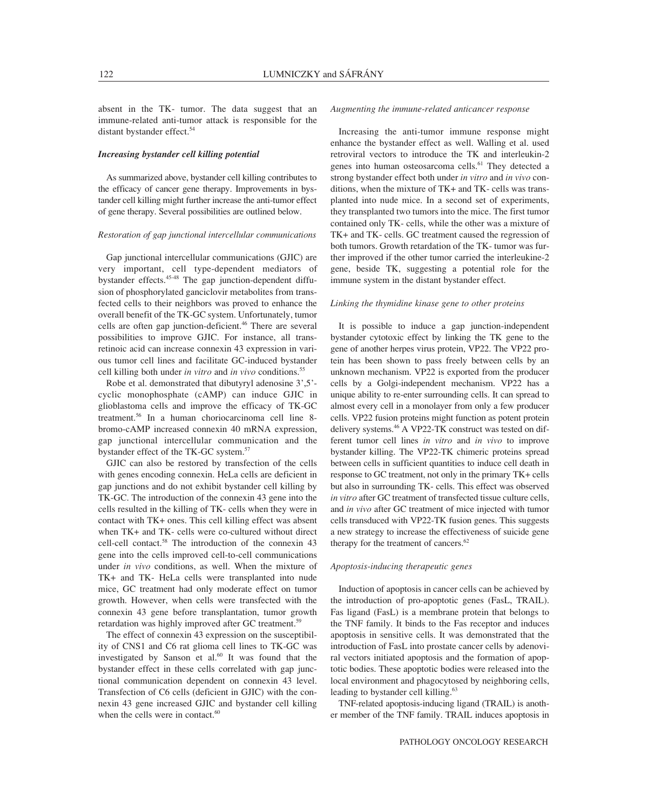absent in the TK- tumor. The data suggest that an immune-related anti-tumor attack is responsible for the distant bystander effect.<sup>54</sup>

### *Increasing bystander cell killing potential*

As summarized above, bystander cell killing contributes to the efficacy of cancer gene therapy. Improvements in bystander cell killing might further increase the anti-tumor effect of gene therapy. Several possibilities are outlined below.

### *Restoration of gap junctional intercellular communications*

Gap junctional intercellular communications (GJIC) are very important, cell type-dependent mediators of bystander effects.45-48 The gap junction-dependent diffusion of phosphorylated ganciclovir metabolites from transfected cells to their neighbors was proved to enhance the overall benefit of the TK-GC system. Unfortunately, tumor cells are often gap junction-deficient.<sup>46</sup> There are several possibilities to improve GJIC. For instance, all transretinoic acid can increase connexin 43 expression in various tumor cell lines and facilitate GC-induced bystander cell killing both under *in vitro* and *in vivo* conditions.55

Robe et al. demonstrated that dibutyryl adenosine 3',5' cyclic monophosphate (cAMP) can induce GJIC in glioblastoma cells and improve the efficacy of TK-GC treatment.56 In a human choriocarcinoma cell line 8 bromo-cAMP increased connexin 40 mRNA expression, gap junctional intercellular communication and the bystander effect of the TK-GC system.<sup>57</sup>

GJIC can also be restored by transfection of the cells with genes encoding connexin. HeLa cells are deficient in gap junctions and do not exhibit bystander cell killing by TK-GC. The introduction of the connexin 43 gene into the cells resulted in the killing of TK- cells when they were in contact with TK+ ones. This cell killing effect was absent when TK+ and TK- cells were co-cultured without direct cell-cell contact.58 The introduction of the connexin 43 gene into the cells improved cell-to-cell communications under *in vivo* conditions, as well. When the mixture of TK+ and TK- HeLa cells were transplanted into nude mice, GC treatment had only moderate effect on tumor growth. However, when cells were transfected with the connexin 43 gene before transplantation, tumor growth retardation was highly improved after GC treatment.<sup>59</sup>

The effect of connexin 43 expression on the susceptibility of CNS1 and C6 rat glioma cell lines to TK-GC was investigated by Sanson et al.<sup>60</sup> It was found that the bystander effect in these cells correlated with gap junctional communication dependent on connexin 43 level. Transfection of C6 cells (deficient in GJIC) with the connexin 43 gene increased GJIC and bystander cell killing when the cells were in contact.<sup>60</sup>

*Augmenting the immune-related anticancer response*

Increasing the anti-tumor immune response might enhance the bystander effect as well. Walling et al. used retroviral vectors to introduce the TK and interleukin-2 genes into human osteosarcoma cells.<sup>61</sup> They detected a strong bystander effect both under *in vitro* and *in vivo* conditions, when the mixture of TK+ and TK- cells was transplanted into nude mice. In a second set of experiments, they transplanted two tumors into the mice. The first tumor contained only TK- cells, while the other was a mixture of TK+ and TK- cells. GC treatment caused the regression of both tumors. Growth retardation of the TK- tumor was further improved if the other tumor carried the interleukine-2 gene, beside TK, suggesting a potential role for the immune system in the distant bystander effect.

### *Linking the thymidine kinase gene to other proteins*

It is possible to induce a gap junction-independent bystander cytotoxic effect by linking the TK gene to the gene of another herpes virus protein, VP22. The VP22 protein has been shown to pass freely between cells by an unknown mechanism. VP22 is exported from the producer cells by a Golgi-independent mechanism. VP22 has a unique ability to re-enter surrounding cells. It can spread to almost every cell in a monolayer from only a few producer cells. VP22 fusion proteins might function as potent protein delivery systems.46 A VP22-TK construct was tested on different tumor cell lines *in vitro* and *in vivo* to improve bystander killing. The VP22-TK chimeric proteins spread between cells in sufficient quantities to induce cell death in response to GC treatment, not only in the primary TK+ cells but also in surrounding TK- cells. This effect was observed *in vitro* after GC treatment of transfected tissue culture cells, and *in vivo* after GC treatment of mice injected with tumor cells transduced with VP22-TK fusion genes. This suggests a new strategy to increase the effectiveness of suicide gene therapy for the treatment of cancers.<sup>62</sup>

### *Apoptosis-inducing therapeutic genes*

Induction of apoptosis in cancer cells can be achieved by the introduction of pro-apoptotic genes (FasL, TRAIL). Fas ligand (FasL) is a membrane protein that belongs to the TNF family. It binds to the Fas receptor and induces apoptosis in sensitive cells. It was demonstrated that the introduction of FasL into prostate cancer cells by adenoviral vectors initiated apoptosis and the formation of apoptotic bodies. These apoptotic bodies were released into the local environment and phagocytosed by neighboring cells, leading to bystander cell killing.<sup>63</sup>

TNF-related apoptosis-inducing ligand (TRAIL) is another member of the TNF family. TRAIL induces apoptosis in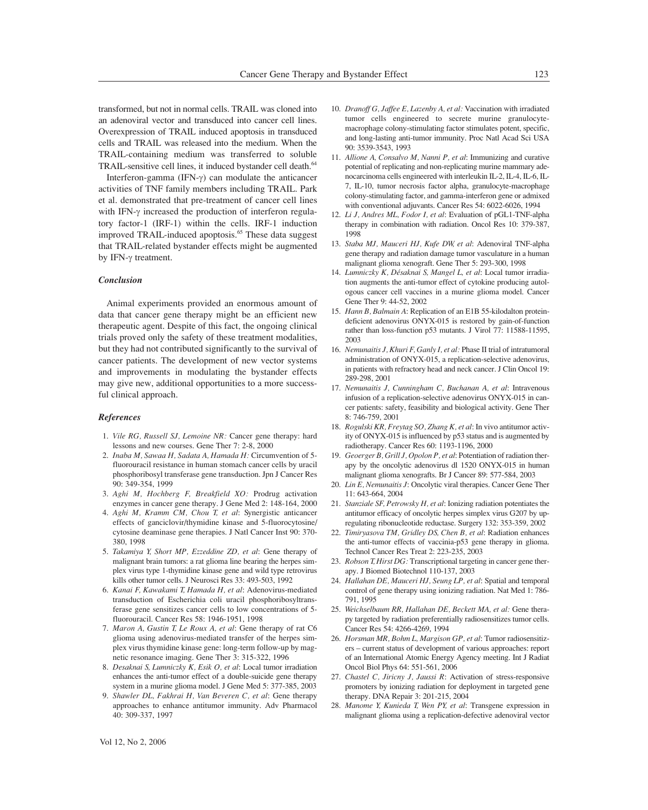transformed, but not in normal cells. TRAIL was cloned into an adenoviral vector and transduced into cancer cell lines. Overexpression of TRAIL induced apoptosis in transduced cells and TRAIL was released into the medium. When the TRAIL-containing medium was transferred to soluble TRAIL-sensitive cell lines, it induced bystander cell death.<sup>64</sup>

Interferon-gamma (IFN-γ) can modulate the anticancer activities of TNF family members including TRAIL. Park et al. demonstrated that pre-treatment of cancer cell lines with IFN-γ increased the production of interferon regulatory factor-1 (IRF-1) within the cells. IRF-1 induction improved TRAIL-induced apoptosis.<sup>65</sup> These data suggest that TRAIL-related bystander effects might be augmented by IFN-γ treatment.

### *Conclusion*

Animal experiments provided an enormous amount of data that cancer gene therapy might be an efficient new therapeutic agent. Despite of this fact, the ongoing clinical trials proved only the safety of these treatment modalities, but they had not contributed significantly to the survival of cancer patients. The development of new vector systems and improvements in modulating the bystander effects may give new, additional opportunities to a more successful clinical approach.

### *References*

- 1. *Vile RG, Russell SJ, Lemoine NR:* Cancer gene therapy: hard lessons and new courses. Gene Ther 7: 2-8, 2000
- 2. *Inaba M, Sawaa H, Sadata A, Hamada H:* Circumvention of 5 fluorouracil resistance in human stomach cancer cells by uracil phosphoribosyl transferase gene transduction. Jpn J Cancer Res 90: 349-354, 1999
- 3. *Aghi M, Hochberg F, Breakfield XO:* Prodrug activation enzymes in cancer gene therapy. J Gene Med 2: 148-164, 2000
- 4. *Aghi M, Kramm CM, Chou T, et al*: Synergistic anticancer effects of ganciclovir/thymidine kinase and 5-fluorocytosine/ cytosine deaminase gene therapies. J Natl Cancer Inst 90: 370- 380, 1998
- 5. *Takamiya Y, Short MP, Ezzeddine ZD, et al*: Gene therapy of malignant brain tumors: a rat glioma line bearing the herpes simplex virus type 1-thymidine kinase gene and wild type retrovirus kills other tumor cells. J Neurosci Res 33: 493-503, 1992
- 6. *Kanai F, Kawakami T, Hamada H, et al*: Adenovirus-mediated transduction of Escherichia coli uracil phosphoribosyltransferase gene sensitizes cancer cells to low concentrations of 5 fluorouracil. Cancer Res 58: 1946-1951, 1998
- 7. *Maron A, Gustin T, Le Roux A, et al*: Gene therapy of rat C6 glioma using adenovirus-mediated transfer of the herpes simplex virus thymidine kinase gene: long-term follow-up by magnetic resonance imaging. Gene Ther 3: 315-322, 1996
- 8. *Desaknai S, Lumniczky K, Esik O, et al*: Local tumor irradiation enhances the anti-tumor effect of a double-suicide gene therapy system in a murine glioma model. J Gene Med 5: 377-385, 2003
- 9. *Shawler DL, Fakhrai H, Van Beveren C, et al*: Gene therapy approaches to enhance antitumor immunity. Adv Pharmacol 40: 309-337, 1997
- 10. *Dranoff G, Jaffee E, Lazenby A, et al:* Vaccination with irradiated tumor cells engineered to secrete murine granulocytemacrophage colony-stimulating factor stimulates potent, specific, and long-lasting anti-tumor immunity. Proc Natl Acad Sci USA 90: 3539-3543, 1993
- 11. *Allione A, Consalvo M, Nanni P, et al*: Immunizing and curative potential of replicating and non-replicating murine mammary adenocarcinoma cells engineered with interleukin IL-2, IL-4, IL-6, IL-7, IL-10, tumor necrosis factor alpha, granulocyte-macrophage colony-stimulating factor, and gamma-interferon gene or admixed with conventional adjuvants. Cancer Res 54: 6022-6026, 1994
- 12. *Li J, Andres ML, Fodor I, et al*: Evaluation of pGL1-TNF-alpha therapy in combination with radiation. Oncol Res 10: 379-387, 1998
- 13. *Staba MJ, Mauceri HJ, Kufe DW, et al*: Adenoviral TNF-alpha gene therapy and radiation damage tumor vasculature in a human malignant glioma xenograft. Gene Ther 5: 293-300, 1998
- 14. *Lumniczky K, Désaknai S, Mangel L, et al*: Local tumor irradiation augments the anti-tumor effect of cytokine producing autologous cancer cell vaccines in a murine glioma model. Cancer Gene Ther 9: 44-52, 2002
- 15. *Hann B, Balmain A*: Replication of an E1B 55-kilodalton proteindeficient adenovirus ONYX-015 is restored by gain-of-function rather than loss-function p53 mutants. J Virol 77: 11588-11595, 2003
- 16. *Nemunaitis J, Khuri F, Ganly I, et al:* Phase II trial of intratumoral administration of ONYX-015, a replication-selective adenovirus, in patients with refractory head and neck cancer. J Clin Oncol 19: 289-298, 2001
- 17. *Nemunaitis J, Cunningham C, Buchanan A, et al*: Intravenous infusion of a replication-selective adenovirus ONYX-015 in cancer patients: safety, feasibility and biological activity. Gene Ther 8: 746-759, 2001
- 18. *Rogulski KR, Freytag SO, Zhang K, et al*: In vivo antitumor activity of ONYX-015 is influenced by p53 status and is augmented by radiotherapy. Cancer Res 60: 1193-1196, 2000
- 19. *Geoerger B, Grill J, Opolon P, et al*: Potentiation of radiation therapy by the oncolytic adenovirus dl 1520 ONYX-015 in human malignant glioma xenografts. Br J Cancer 89: 577-584, 2003
- 20. *Lin E, Nemunaitis J*: Oncolytic viral therapies. Cancer Gene Ther 11: 643-664, 2004
- 21. *Stanziale SF, Petrowsky H, et al*: Ionizing radiation potentiates the antitumor efficacy of oncolytic herpes simplex virus G207 by upregulating ribonucleotide reductase. Surgery 132: 353-359, 2002
- 22. *Timiryasova TM, Gridley DS, Chen B, et al*: Radiation enhances the anti-tumor effects of vaccinia-p53 gene therapy in glioma. Technol Cancer Res Treat 2: 223-235, 2003
- 23. *Robson T, Hirst DG:* Transcriptional targeting in cancer gene therapy. J Biomed Biotechnol 110-137, 2003
- 24. *Hallahan DE, Mauceri HJ, Seung LP, et al*: Spatial and temporal control of gene therapy using ionizing radiation. Nat Med 1: 786- 791, 1995
- 25. *Weichselbaum RR, Hallahan DE, Beckett MA, et al:* Gene therapy targeted by radiation preferentially radiosensitizes tumor cells. Cancer Res 54: 4266-4269, 1994
- 26. *Horsman MR, Bohm L, Margison GP, et al*: Tumor radiosensitizers – current status of development of various approaches: report of an International Atomic Energy Agency meeting. Int J Radiat Oncol Biol Phys 64: 551-561, 2006
- 27. *Chastel C, Jiricny J, Jaussi R*: Activation of stress-responsive promoters by ionizing radiation for deployment in targeted gene therapy. DNA Repair 3: 201-215, 2004
- 28. *Manome Y, Kunieda T, Wen PY, et al*: Transgene expression in malignant glioma using a replication-defective adenoviral vector